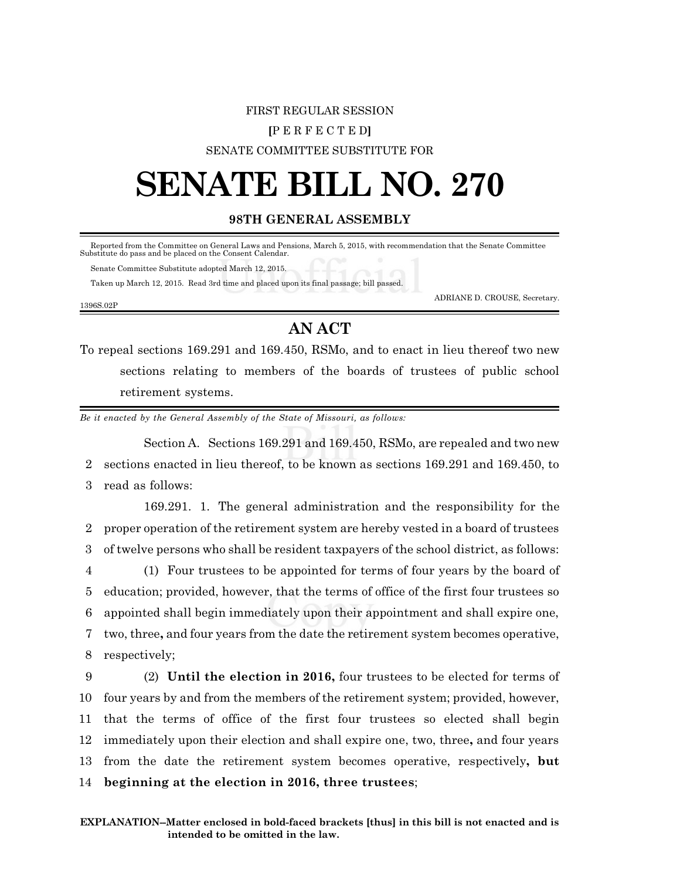## FIRST REGULAR SESSION **[**P E R F E C T E D**]** SENATE COMMITTEE SUBSTITUTE FOR

# **SENATE BILL NO. 270**

### **98TH GENERAL ASSEMBLY**

Reported from the Committee on General Laws and Pensions, March 5, 2015, with recommendation that the Senate Committee Substitute do pass and be placed on the Consent Calendar.

Senate Committee Substitute adopted March 12, 2015.

Taken up March 12, 2015. Read 3rd time and placed upon its final passage; bill passed.

1396S.02P

ADRIANE D. CROUSE, Secretary.

# **AN ACT**

To repeal sections 169.291 and 169.450, RSMo, and to enact in lieu thereof two new sections relating to members of the boards of trustees of public school retirement systems.

*Be it enacted by the General Assembly of the State of Missouri, as follows:*

Section A. Sections 169.291 and 169.450, RSMo, are repealed and two new 2 sections enacted in lieu thereof, to be known as sections 169.291 and 169.450, to 3 read as follows:

169.291. 1. The general administration and the responsibility for the proper operation of the retirement system are hereby vested in a board of trustees of twelve persons who shall be resident taxpayers of the school district, as follows: (1) Four trustees to be appointed for terms of four years by the board of education; provided, however, that the terms of office of the first four trustees so appointed shall begin immediately upon their appointment and shall expire one, two, three**,** and four years from the date the retirement system becomes operative, respectively;

 (2) **Until the election in 2016,** four trustees to be elected for terms of four years by and from the members of the retirement system; provided, however, that the terms of office of the first four trustees so elected shall begin immediately upon their election and shall expire one, two, three**,** and four years from the date the retirement system becomes operative, respectively**, but beginning at the election in 2016, three trustees**;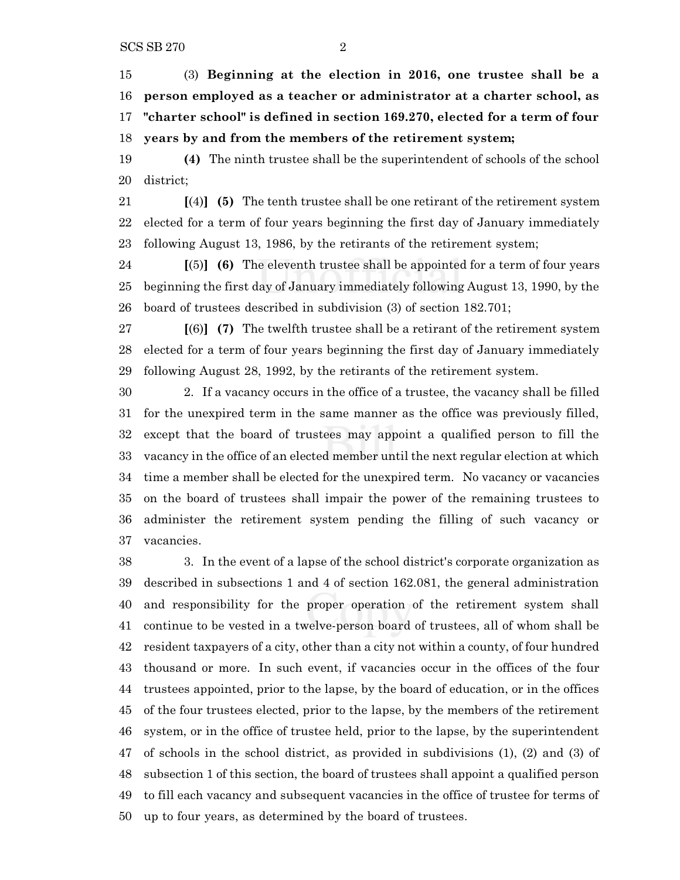(3) **Beginning at the election in 2016, one trustee shall be a person employed as a teacher or administrator at a charter school, as "charter school" is defined in section 169.270, elected for a term of four years by and from the members of the retirement system;**

 **(4)** The ninth trustee shall be the superintendent of schools of the school district;

 **[**(4)**] (5)** The tenth trustee shall be one retirant of the retirement system elected for a term of four years beginning the first day of January immediately following August 13, 1986, by the retirants of the retirement system;

 **[**(5)**] (6)** The eleventh trustee shall be appointed for a term of four years beginning the first day of January immediately following August 13, 1990, by the board of trustees described in subdivision (3) of section 182.701;

 **[**(6)**] (7)** The twelfth trustee shall be a retirant of the retirement system elected for a term of four years beginning the first day of January immediately following August 28, 1992, by the retirants of the retirement system.

 2. If a vacancy occurs in the office of a trustee, the vacancy shall be filled for the unexpired term in the same manner as the office was previously filled, except that the board of trustees may appoint a qualified person to fill the vacancy in the office of an elected member until the next regular election at which time a member shall be elected for the unexpired term. No vacancy or vacancies on the board of trustees shall impair the power of the remaining trustees to administer the retirement system pending the filling of such vacancy or vacancies.

 3. In the event of a lapse of the school district's corporate organization as described in subsections 1 and 4 of section 162.081, the general administration and responsibility for the proper operation of the retirement system shall continue to be vested in a twelve-person board of trustees, all of whom shall be resident taxpayers of a city, other than a city not within a county, of four hundred thousand or more. In such event, if vacancies occur in the offices of the four trustees appointed, prior to the lapse, by the board of education, or in the offices of the four trustees elected, prior to the lapse, by the members of the retirement system, or in the office of trustee held, prior to the lapse, by the superintendent of schools in the school district, as provided in subdivisions (1), (2) and (3) of subsection 1 of this section, the board of trustees shall appoint a qualified person to fill each vacancy and subsequent vacancies in the office of trustee for terms of up to four years, as determined by the board of trustees.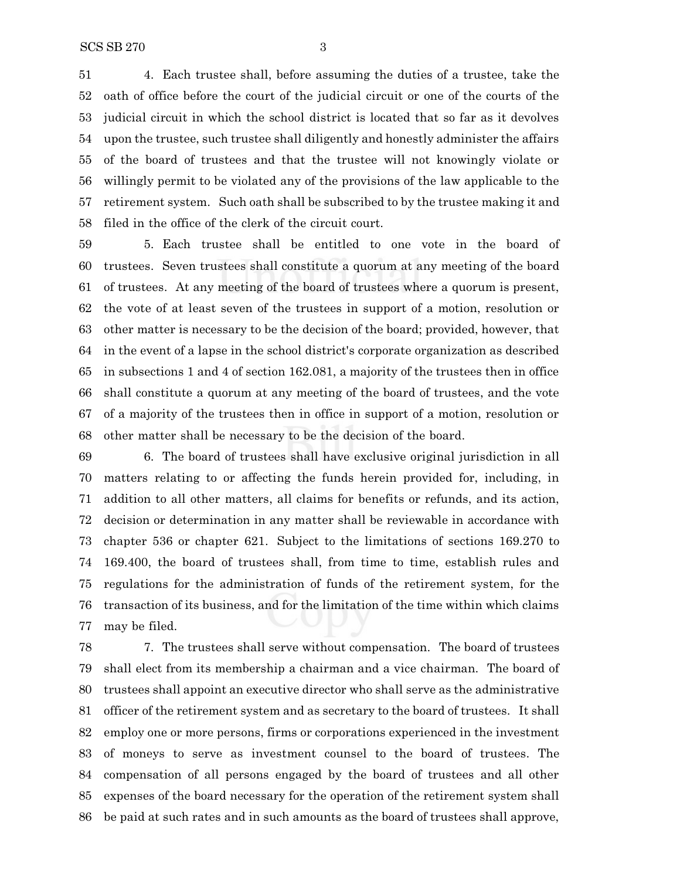4. Each trustee shall, before assuming the duties of a trustee, take the oath of office before the court of the judicial circuit or one of the courts of the judicial circuit in which the school district is located that so far as it devolves upon the trustee, such trustee shall diligently and honestly administer the affairs of the board of trustees and that the trustee will not knowingly violate or willingly permit to be violated any of the provisions of the law applicable to the retirement system. Such oath shall be subscribed to by the trustee making it and filed in the office of the clerk of the circuit court.

 5. Each trustee shall be entitled to one vote in the board of trustees. Seven trustees shall constitute a quorum at any meeting of the board of trustees. At any meeting of the board of trustees where a quorum is present, the vote of at least seven of the trustees in support of a motion, resolution or other matter is necessary to be the decision of the board; provided, however, that in the event of a lapse in the school district's corporate organization as described in subsections 1 and 4 of section 162.081, a majority of the trustees then in office shall constitute a quorum at any meeting of the board of trustees, and the vote of a majority of the trustees then in office in support of a motion, resolution or other matter shall be necessary to be the decision of the board.

 6. The board of trustees shall have exclusive original jurisdiction in all matters relating to or affecting the funds herein provided for, including, in addition to all other matters, all claims for benefits or refunds, and its action, decision or determination in any matter shall be reviewable in accordance with chapter 536 or chapter 621. Subject to the limitations of sections 169.270 to 169.400, the board of trustees shall, from time to time, establish rules and regulations for the administration of funds of the retirement system, for the transaction of its business, and for the limitation of the time within which claims may be filed.

 7. The trustees shall serve without compensation. The board of trustees shall elect from its membership a chairman and a vice chairman. The board of trustees shall appoint an executive director who shall serve as the administrative officer of the retirement system and as secretary to the board of trustees. It shall employ one or more persons, firms or corporations experienced in the investment of moneys to serve as investment counsel to the board of trustees. The compensation of all persons engaged by the board of trustees and all other expenses of the board necessary for the operation of the retirement system shall be paid at such rates and in such amounts as the board of trustees shall approve,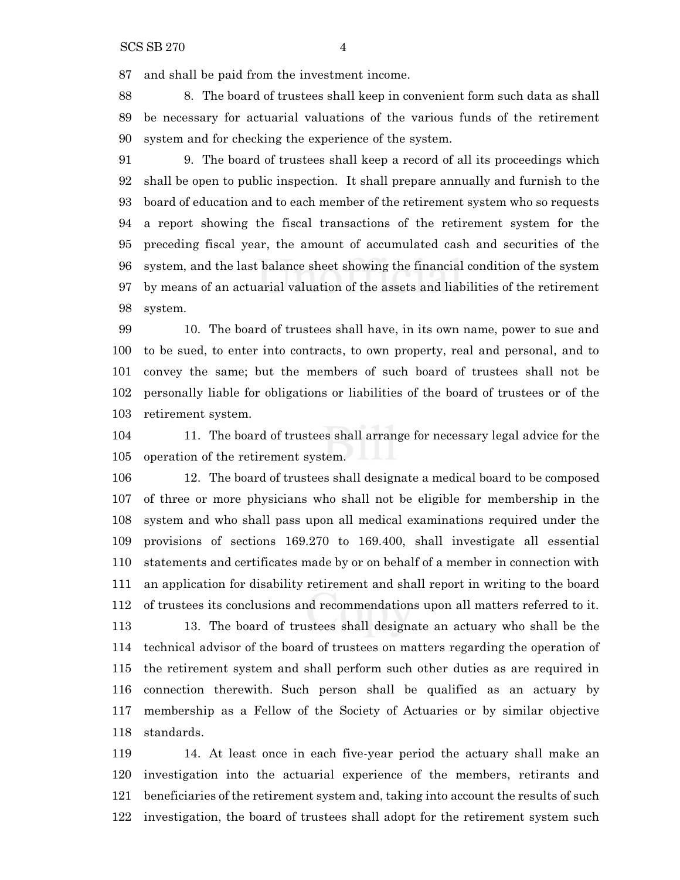and shall be paid from the investment income.

 8. The board of trustees shall keep in convenient form such data as shall be necessary for actuarial valuations of the various funds of the retirement system and for checking the experience of the system.

 9. The board of trustees shall keep a record of all its proceedings which shall be open to public inspection. It shall prepare annually and furnish to the board of education and to each member of the retirement system who so requests a report showing the fiscal transactions of the retirement system for the preceding fiscal year, the amount of accumulated cash and securities of the system, and the last balance sheet showing the financial condition of the system by means of an actuarial valuation of the assets and liabilities of the retirement system.

 10. The board of trustees shall have, in its own name, power to sue and to be sued, to enter into contracts, to own property, real and personal, and to convey the same; but the members of such board of trustees shall not be personally liable for obligations or liabilities of the board of trustees or of the retirement system.

 11. The board of trustees shall arrange for necessary legal advice for the operation of the retirement system.

 12. The board of trustees shall designate a medical board to be composed of three or more physicians who shall not be eligible for membership in the system and who shall pass upon all medical examinations required under the provisions of sections 169.270 to 169.400, shall investigate all essential statements and certificates made by or on behalf of a member in connection with an application for disability retirement and shall report in writing to the board of trustees its conclusions and recommendations upon all matters referred to it. 13. The board of trustees shall designate an actuary who shall be the technical advisor of the board of trustees on matters regarding the operation of the retirement system and shall perform such other duties as are required in connection therewith. Such person shall be qualified as an actuary by membership as a Fellow of the Society of Actuaries or by similar objective standards.

 14. At least once in each five-year period the actuary shall make an investigation into the actuarial experience of the members, retirants and beneficiaries of the retirement system and, taking into account the results of such investigation, the board of trustees shall adopt for the retirement system such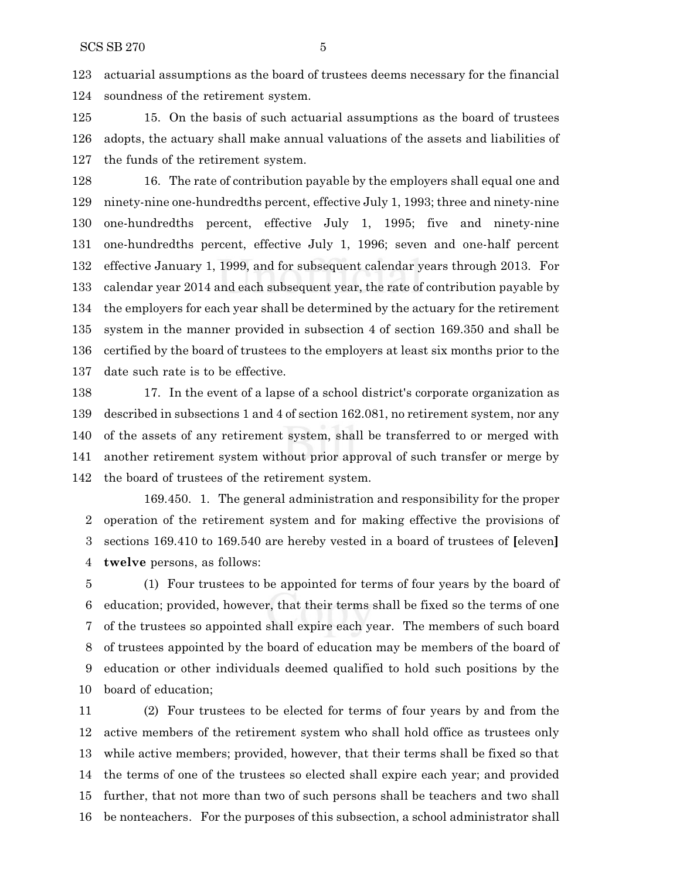actuarial assumptions as the board of trustees deems necessary for the financial soundness of the retirement system.

 15. On the basis of such actuarial assumptions as the board of trustees adopts, the actuary shall make annual valuations of the assets and liabilities of the funds of the retirement system.

 16. The rate of contribution payable by the employers shall equal one and ninety-nine one-hundredths percent, effective July 1, 1993; three and ninety-nine one-hundredths percent, effective July 1, 1995; five and ninety-nine one-hundredths percent, effective July 1, 1996; seven and one-half percent effective January 1, 1999, and for subsequent calendar years through 2013. For calendar year 2014 and each subsequent year, the rate of contribution payable by the employers for each year shall be determined by the actuary for the retirement system in the manner provided in subsection 4 of section 169.350 and shall be certified by the board of trustees to the employers at least six months prior to the date such rate is to be effective.

 17. In the event of a lapse of a school district's corporate organization as described in subsections 1 and 4 of section 162.081, no retirement system, nor any of the assets of any retirement system, shall be transferred to or merged with another retirement system without prior approval of such transfer or merge by the board of trustees of the retirement system.

169.450. 1. The general administration and responsibility for the proper operation of the retirement system and for making effective the provisions of sections 169.410 to 169.540 are hereby vested in a board of trustees of **[**eleven**] twelve** persons, as follows:

 (1) Four trustees to be appointed for terms of four years by the board of education; provided, however, that their terms shall be fixed so the terms of one of the trustees so appointed shall expire each year. The members of such board of trustees appointed by the board of education may be members of the board of education or other individuals deemed qualified to hold such positions by the board of education;

 (2) Four trustees to be elected for terms of four years by and from the active members of the retirement system who shall hold office as trustees only while active members; provided, however, that their terms shall be fixed so that the terms of one of the trustees so elected shall expire each year; and provided further, that not more than two of such persons shall be teachers and two shall be nonteachers. For the purposes of this subsection, a school administrator shall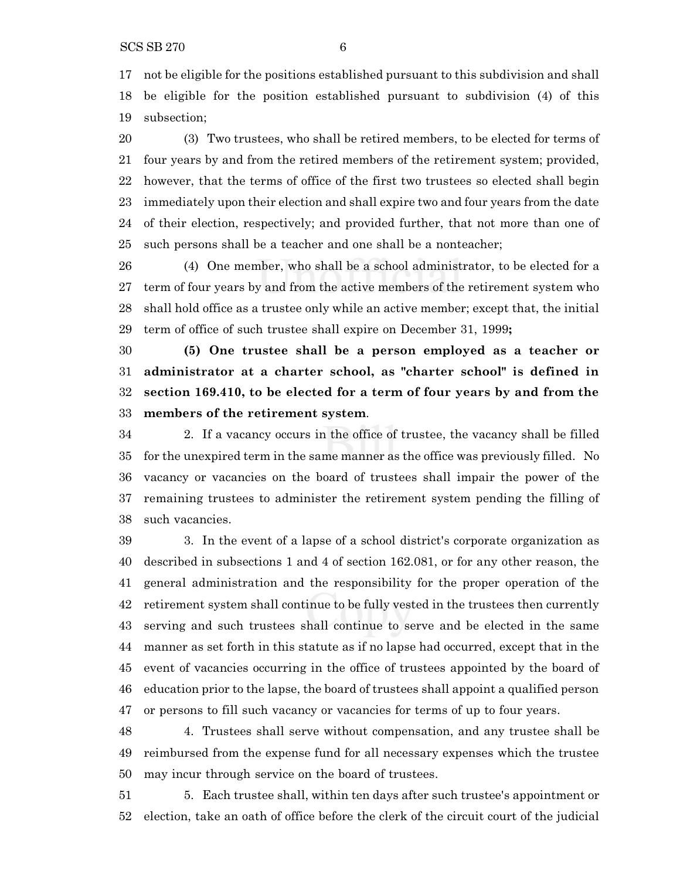$SCS SB 270$  6

 not be eligible for the positions established pursuant to this subdivision and shall be eligible for the position established pursuant to subdivision (4) of this subsection;

 (3) Two trustees, who shall be retired members, to be elected for terms of four years by and from the retired members of the retirement system; provided, however, that the terms of office of the first two trustees so elected shall begin immediately upon their election and shall expire two and four years from the date of their election, respectively; and provided further, that not more than one of such persons shall be a teacher and one shall be a nonteacher;

 (4) One member, who shall be a school administrator, to be elected for a term of four years by and from the active members of the retirement system who shall hold office as a trustee only while an active member; except that, the initial term of office of such trustee shall expire on December 31, 1999**;**

 **(5) One trustee shall be a person employed as a teacher or administrator at a charter school, as "charter school" is defined in section 169.410, to be elected for a term of four years by and from the members of the retirement system**.

 2. If a vacancy occurs in the office of trustee, the vacancy shall be filled for the unexpired term in the same manner as the office was previously filled. No vacancy or vacancies on the board of trustees shall impair the power of the remaining trustees to administer the retirement system pending the filling of such vacancies.

 3. In the event of a lapse of a school district's corporate organization as described in subsections 1 and 4 of section 162.081, or for any other reason, the general administration and the responsibility for the proper operation of the retirement system shall continue to be fully vested in the trustees then currently serving and such trustees shall continue to serve and be elected in the same manner as set forth in this statute as if no lapse had occurred, except that in the event of vacancies occurring in the office of trustees appointed by the board of education prior to the lapse, the board of trustees shall appoint a qualified person or persons to fill such vacancy or vacancies for terms of up to four years.

 4. Trustees shall serve without compensation, and any trustee shall be reimbursed from the expense fund for all necessary expenses which the trustee may incur through service on the board of trustees.

 5. Each trustee shall, within ten days after such trustee's appointment or election, take an oath of office before the clerk of the circuit court of the judicial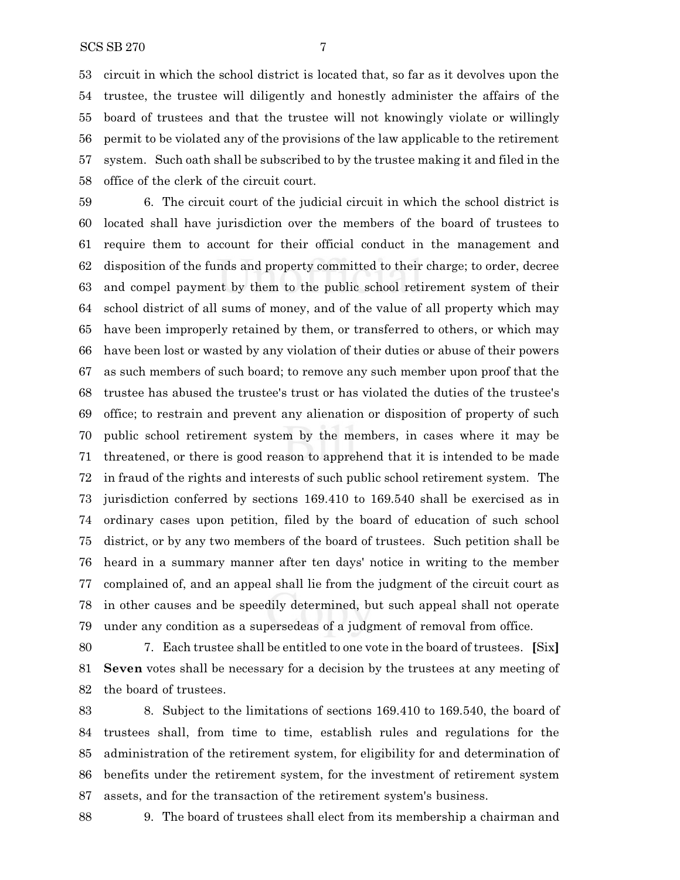#### SCS SB 270 7

 circuit in which the school district is located that, so far as it devolves upon the trustee, the trustee will diligently and honestly administer the affairs of the board of trustees and that the trustee will not knowingly violate or willingly permit to be violated any of the provisions of the law applicable to the retirement system. Such oath shall be subscribed to by the trustee making it and filed in the office of the clerk of the circuit court.

 6. The circuit court of the judicial circuit in which the school district is located shall have jurisdiction over the members of the board of trustees to require them to account for their official conduct in the management and disposition of the funds and property committed to their charge; to order, decree and compel payment by them to the public school retirement system of their school district of all sums of money, and of the value of all property which may have been improperly retained by them, or transferred to others, or which may have been lost or wasted by any violation of their duties or abuse of their powers as such members of such board; to remove any such member upon proof that the trustee has abused the trustee's trust or has violated the duties of the trustee's office; to restrain and prevent any alienation or disposition of property of such public school retirement system by the members, in cases where it may be threatened, or there is good reason to apprehend that it is intended to be made in fraud of the rights and interests of such public school retirement system. The jurisdiction conferred by sections 169.410 to 169.540 shall be exercised as in ordinary cases upon petition, filed by the board of education of such school district, or by any two members of the board of trustees. Such petition shall be heard in a summary manner after ten days' notice in writing to the member complained of, and an appeal shall lie from the judgment of the circuit court as in other causes and be speedily determined, but such appeal shall not operate under any condition as a supersedeas of a judgment of removal from office.

 7. Each trustee shall be entitled to one vote in the board of trustees. **[**Six**] Seven** votes shall be necessary for a decision by the trustees at any meeting of the board of trustees.

 8. Subject to the limitations of sections 169.410 to 169.540, the board of trustees shall, from time to time, establish rules and regulations for the administration of the retirement system, for eligibility for and determination of benefits under the retirement system, for the investment of retirement system assets, and for the transaction of the retirement system's business.

9. The board of trustees shall elect from its membership a chairman and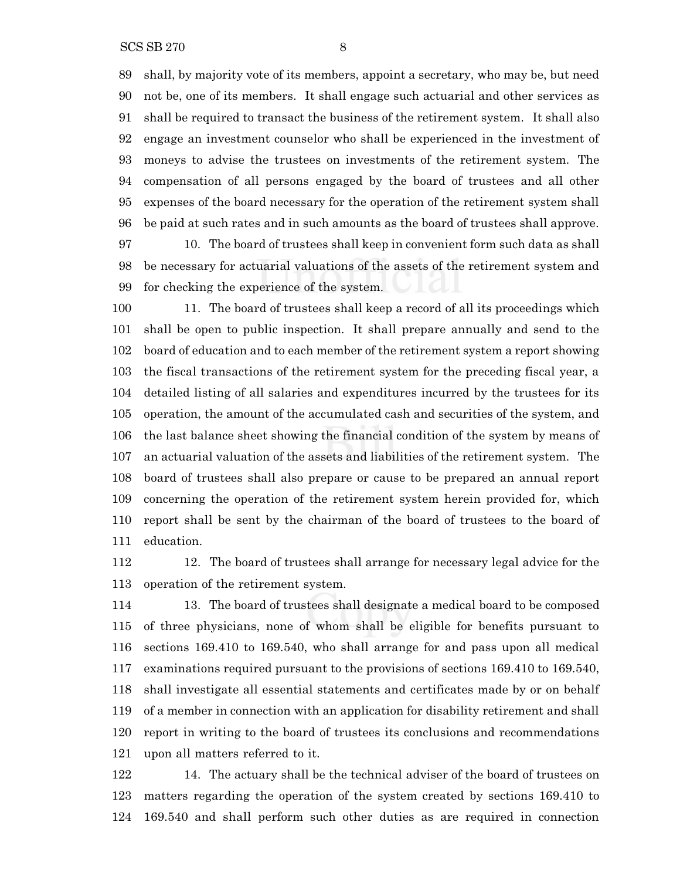shall, by majority vote of its members, appoint a secretary, who may be, but need not be, one of its members. It shall engage such actuarial and other services as shall be required to transact the business of the retirement system. It shall also engage an investment counselor who shall be experienced in the investment of moneys to advise the trustees on investments of the retirement system. The compensation of all persons engaged by the board of trustees and all other expenses of the board necessary for the operation of the retirement system shall be paid at such rates and in such amounts as the board of trustees shall approve.

 10. The board of trustees shall keep in convenient form such data as shall be necessary for actuarial valuations of the assets of the retirement system and for checking the experience of the system.

 11. The board of trustees shall keep a record of all its proceedings which shall be open to public inspection. It shall prepare annually and send to the board of education and to each member of the retirement system a report showing the fiscal transactions of the retirement system for the preceding fiscal year, a detailed listing of all salaries and expenditures incurred by the trustees for its operation, the amount of the accumulated cash and securities of the system, and the last balance sheet showing the financial condition of the system by means of an actuarial valuation of the assets and liabilities of the retirement system. The board of trustees shall also prepare or cause to be prepared an annual report concerning the operation of the retirement system herein provided for, which report shall be sent by the chairman of the board of trustees to the board of education.

 12. The board of trustees shall arrange for necessary legal advice for the operation of the retirement system.

 13. The board of trustees shall designate a medical board to be composed of three physicians, none of whom shall be eligible for benefits pursuant to sections 169.410 to 169.540, who shall arrange for and pass upon all medical examinations required pursuant to the provisions of sections 169.410 to 169.540, shall investigate all essential statements and certificates made by or on behalf of a member in connection with an application for disability retirement and shall report in writing to the board of trustees its conclusions and recommendations upon all matters referred to it.

 14. The actuary shall be the technical adviser of the board of trustees on matters regarding the operation of the system created by sections 169.410 to 169.540 and shall perform such other duties as are required in connection